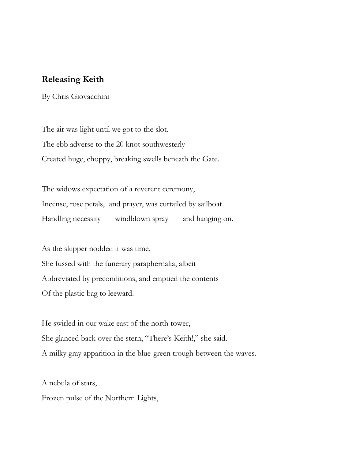## **Releasing Keith**

By Chris Giovacchini

The air was light until we got to the slot. The ebb adverse to the 20 knot southwesterly Created huge, choppy, breaking swells beneath the Gate.

The widows expectation of a reverent ceremony, Incense, rose petals, and prayer, was curtailed by sailboat Handling necessity windblown spray and hanging on.

As the skipper nodded it was time, She fussed with the funerary paraphernalia, albeit Abbreviated by preconditions, and emptied the contents Of the plastic bag to leeward.

He swirled in our wake east of the north tower, She glanced back over the stern, "There's Keith!," she said. A milky gray apparition in the blue-green trough between the waves.

A nebula of stars, Frozen pulse of the Northern Lights,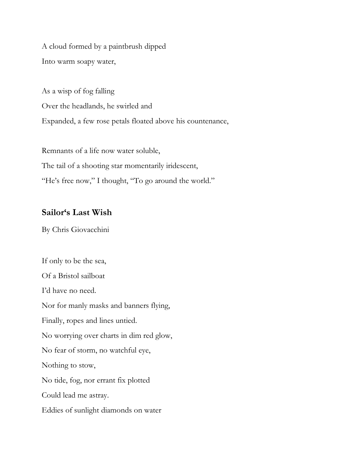A cloud formed by a paintbrush dipped Into warm soapy water,

As a wisp of fog falling Over the headlands, he swirled and Expanded, a few rose petals floated above his countenance,

Remnants of a life now water soluble, The tail of a shooting star momentarily iridescent, "He's free now," I thought, "To go around the world."

## **Sailor's Last Wish**

By Chris Giovacchini

If only to be the sea, Of a Bristol sailboat I'd have no need. Nor for manly masks and banners flying, Finally, ropes and lines untied. No worrying over charts in dim red glow, No fear of storm, no watchful eye, Nothing to stow, No tide, fog, nor errant fix plotted Could lead me astray. Eddies of sunlight diamonds on water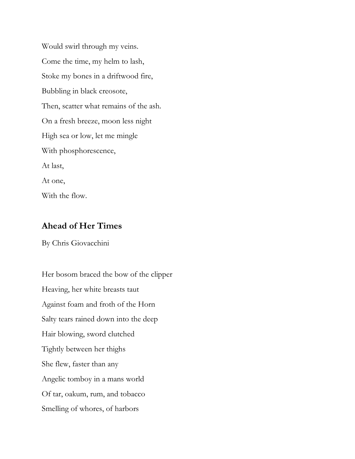Would swirl through my veins. Come the time, my helm to lash, Stoke my bones in a driftwood fire, Bubbling in black creosote, Then, scatter what remains of the ash. On a fresh breeze, moon less night High sea or low, let me mingle With phosphorescence, At last, At one, With the flow.

## **Ahead of Her Times**

By Chris Giovacchini

Her bosom braced the bow of the clipper Heaving, her white breasts taut Against foam and froth of the Horn Salty tears rained down into the deep Hair blowing, sword clutched Tightly between her thighs She flew, faster than any Angelic tomboy in a mans world Of tar, oakum, rum, and tobacco Smelling of whores, of harbors